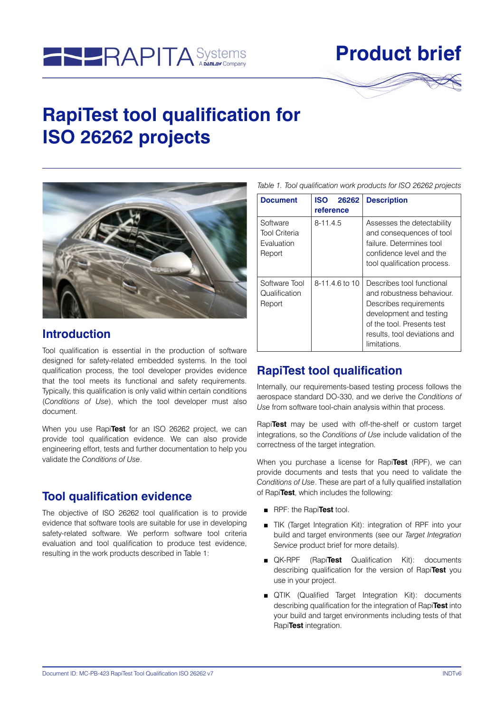

# **Product brief**

# **RapiTest tool qualification for ISO 26262 projects**



#### **Introduction**

Tool qualification is essential in the production of software designed for safety-related embedded systems. In the tool qualification process, the tool developer provides evidence that the tool meets its functional and safety requirements. Typically, this qualification is only valid within certain conditions (*Conditions of Use*), which the tool developer must also document.

When you use Rapi**Test** for an ISO 26262 project, we can provide tool qualification evidence. We can also provide engineering effort, tests and further documentation to help you validate the *Conditions of Use*.

### **Tool qualification evidence**

The objective of ISO 26262 tool qualification is to provide evidence that software tools are suitable for use in developing safety-related software. We perform software tool criteria evaluation and tool qualification to produce test evidence, resulting in the work products described in Table 1:

*Table 1. Tool qualification work products for ISO 26262 projects*

| <b>Document</b>                                                 | <b>ISO</b><br>26262<br>reference | <b>Description</b>                                                                                                                                                                        |
|-----------------------------------------------------------------|----------------------------------|-------------------------------------------------------------------------------------------------------------------------------------------------------------------------------------------|
| Software<br><b>Tool Criteria</b><br><b>Fvaluation</b><br>Report | $8 - 11.4.5$                     | Assesses the detectability<br>and consequences of tool<br>failure. Determines tool<br>confidence level and the<br>tool qualification process.                                             |
| Software Tool<br>Qualification<br>Report                        | 8-11.4.6 to 10                   | Describes tool functional<br>and robustness behaviour.<br>Describes requirements<br>development and testing<br>of the tool. Presents test<br>results, tool deviations and<br>limitations. |

### **RapiTest tool qualification**

Internally, our requirements-based testing process follows the aerospace standard DO-330, and we derive the *Conditions of Use* from software tool-chain analysis within that process.

Rapi**Test** may be used with off-the-shelf or custom target integrations, so the *Conditions of Use* include validation of the correctness of the target integration.

When you purchase a license for Rapi**Test** (RPF), we can provide documents and tests that you need to validate the *Conditions of Use*. These are part of a fully qualified installation of Rapi**Test**, which includes the following:

- RPF: the Rapi**Test** tool.
- TIK (Target Integration Kit): integration of RPF into your build and target environments (see our *Target Integration Service* product brief for more details).
- QK-RPF (Rapi**Test** Qualification Kit): documents describing qualification for the version of Rapi**Test** you use in your project.
- QTIK (Qualified Target Integration Kit): documents describing qualification for the integration of Rapi**Test** into your build and target environments including tests of that Rapi**Test** integration.